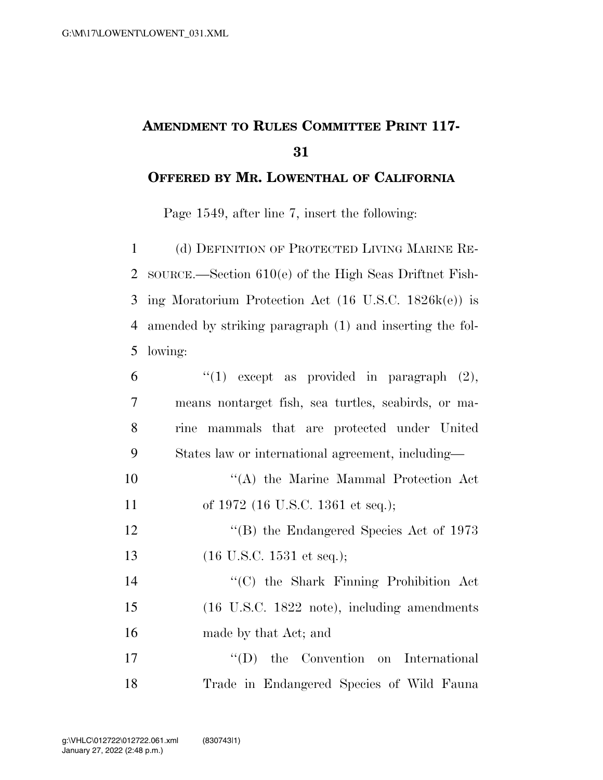## **AMENDMENT TO RULES COMMITTEE PRINT 117-**

## **OFFERED BY MR. LOWENTHAL OF CALIFORNIA**

Page 1549, after line 7, insert the following:

 (d) DEFINITION OF PROTECTED LIVING MARINE RE- SOURCE.—Section 610(e) of the High Seas Driftnet Fish- ing Moratorium Protection Act (16 U.S.C. 1826k(e)) is amended by striking paragraph (1) and inserting the fol-lowing:

| 6              | "(1) except as provided in paragraph $(2)$ ,                |
|----------------|-------------------------------------------------------------|
| $\overline{7}$ | means nontarget fish, sea turtles, seabirds, or ma-         |
| 8              | rine mammals that are protected under United                |
| 9              | States law or international agreement, including—           |
| 10             | "(A) the Marine Mammal Protection Act                       |
| 11             | of 1972 (16 U.S.C. 1361 et seq.);                           |
| 12             | $\rm ^{\prime\prime}(B)$ the Endangered Species Act of 1973 |
| 13             | $(16 \text{ U.S.C. } 1531 \text{ et seq.});$                |
| 14             | "(C) the Shark Finning Prohibition Act                      |
| 15             | (16 U.S.C. 1822 note), including amendments                 |
| 16             | made by that Act; and                                       |
| 17             | $\lq\lq$ (D) the Convention on International                |
| 18             | Trade in Endangered Species of Wild Fauna                   |